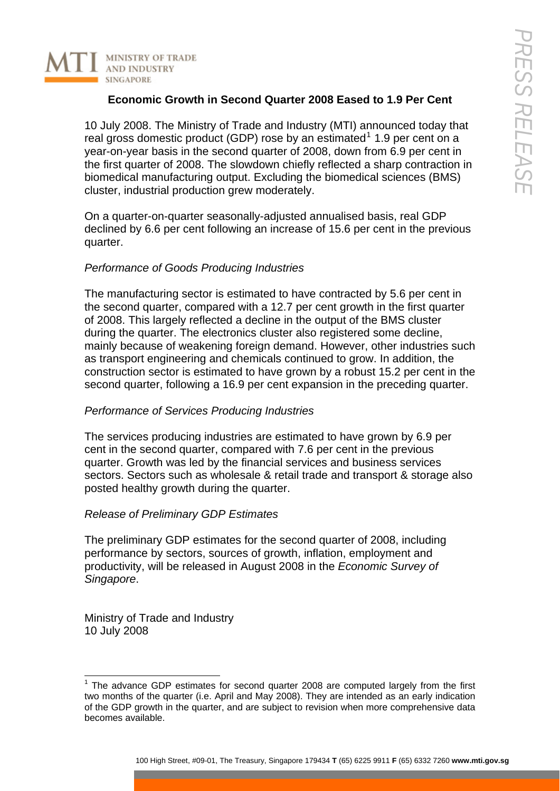

## **Economic Growth in Second Quarter 2008 Eased to 1.9 Per Cent**

10 July 2008. The Ministry of Trade and Industry (MTI) announced today that real gross domestic product (GDP) rose by an estimated<sup>1</sup> 1.9 per cent on a year-on-year basis in the second quarter of 2008, down from 6.9 per cent in the first quarter of 2008. The slowdown chiefly reflected a sharp contraction in biomedical manufacturing output. Excluding the biomedi[ca](#page-0-0)l sciences (BMS) cluster, industrial production grew moderately.

On a quarter-on-quarter seasonally-adjusted annualised basis, real GDP declined by 6.6 per cent following an increase of 15.6 per cent in the previous quarter.

### *Performance of Goods Producing Industries*

The manufacturing sector is estimated to have contracted by 5.6 per cent in the second quarter, compared with a 12.7 per cent growth in the first quarter of 2008. This largely reflected a decline in the output of the BMS cluster during the quarter. The electronics cluster also registered some decline, mainly because of weakening foreign demand. However, other industries such as transport engineering and chemicals continued to grow. In addition, the construction sector is estimated to have grown by a robust 15.2 per cent in the second quarter, following a 16.9 per cent expansion in the preceding quarter.

### *Performance of Services Producing Industries*

The services producing industries are estimated to have grown by 6.9 per cent in the second quarter, compared with 7.6 per cent in the previous quarter. Growth was led by the financial services and business services sectors. Sectors such as wholesale & retail trade and transport & storage also posted healthy growth during the quarter.

#### *Release of Preliminary GDP Estimates*

The preliminary GDP estimates for the second quarter of 2008, including performance by sectors, sources of growth, inflation, employment and productivity, will be released in August 2008 in the *Economic Survey of Singapore*.

Ministry of Trade and Industry 10 July 2008

l

<span id="page-0-0"></span><sup>&</sup>lt;sup>1</sup> The advance GDP estimates for second quarter 2008 are computed largely from the first two months of the quarter (i.e. April and May 2008). They are intended as an early indication of the GDP growth in the quarter, and are subject to revision when more comprehensive data becomes available.